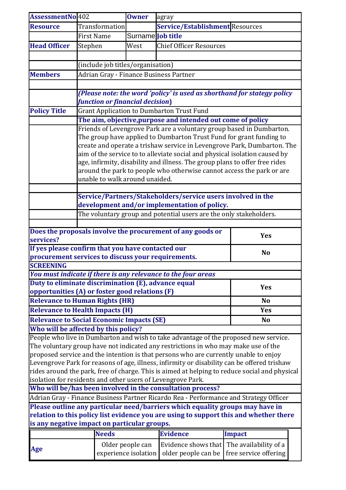| AssessmentNo 402                       |                                                             | <b>Owner</b>         | agray                                                                                                                                                                                                                                             |                                                                                               |
|----------------------------------------|-------------------------------------------------------------|----------------------|---------------------------------------------------------------------------------------------------------------------------------------------------------------------------------------------------------------------------------------------------|-----------------------------------------------------------------------------------------------|
| <b>Resource</b>                        | Transformation                                              |                      | Service/Establishment Resources                                                                                                                                                                                                                   |                                                                                               |
|                                        | First Name                                                  | Surname Job title    |                                                                                                                                                                                                                                                   |                                                                                               |
| <b>Head Officer</b>                    | Stephen                                                     | West                 | <b>Chief Officer Resources</b>                                                                                                                                                                                                                    |                                                                                               |
|                                        |                                                             |                      |                                                                                                                                                                                                                                                   |                                                                                               |
|                                        | (include job titles/organisation)                           |                      |                                                                                                                                                                                                                                                   |                                                                                               |
| <b>Members</b>                         | Adrian Gray - Finance Business Partner                      |                      |                                                                                                                                                                                                                                                   |                                                                                               |
|                                        |                                                             |                      |                                                                                                                                                                                                                                                   |                                                                                               |
|                                        |                                                             |                      |                                                                                                                                                                                                                                                   | (Please note: the word 'policy' is used as shorthand for stategy policy                       |
|                                        | function or financial decision)                             |                      |                                                                                                                                                                                                                                                   |                                                                                               |
| <b>Policy Title</b>                    |                                                             |                      | <b>Grant Application to Dumbarton Trust Fund</b>                                                                                                                                                                                                  |                                                                                               |
|                                        |                                                             |                      | The aim, objective, purpose and intended out come of policy                                                                                                                                                                                       |                                                                                               |
|                                        |                                                             |                      |                                                                                                                                                                                                                                                   | Friends of Levengrove Park are a voluntary group based in Dumbarton.                          |
|                                        |                                                             |                      | The group have applied to Dumbarton Trust Fund for grant funding to                                                                                                                                                                               |                                                                                               |
|                                        |                                                             |                      |                                                                                                                                                                                                                                                   | create and operate a trishaw service in Levengrove Park, Dumbarton. The                       |
|                                        |                                                             |                      | aim of the service to to alleviate social and physical isolation caused by                                                                                                                                                                        |                                                                                               |
|                                        |                                                             |                      | age, infirmity, disability and illness. The group plans to offer free rides                                                                                                                                                                       |                                                                                               |
|                                        |                                                             |                      |                                                                                                                                                                                                                                                   | around the park to people who otherwise cannot access the park or are                         |
|                                        | unable to walk around unaided.                              |                      |                                                                                                                                                                                                                                                   |                                                                                               |
|                                        |                                                             |                      |                                                                                                                                                                                                                                                   |                                                                                               |
|                                        |                                                             |                      | Service/Partners/Stakeholders/service users involved in the                                                                                                                                                                                       |                                                                                               |
|                                        |                                                             |                      | development and/or implementation of policy.                                                                                                                                                                                                      |                                                                                               |
|                                        |                                                             |                      | The voluntary group and potential users are the only stakeholders.                                                                                                                                                                                |                                                                                               |
|                                        |                                                             |                      |                                                                                                                                                                                                                                                   |                                                                                               |
|                                        |                                                             |                      | Does the proposals involve the procurement of any goods or                                                                                                                                                                                        | <b>Yes</b>                                                                                    |
| services?                              |                                                             |                      |                                                                                                                                                                                                                                                   |                                                                                               |
|                                        | If yes please confirm that you have contacted our           |                      |                                                                                                                                                                                                                                                   | N <sub>o</sub>                                                                                |
|                                        |                                                             |                      |                                                                                                                                                                                                                                                   |                                                                                               |
| <b>SCREENING</b>                       |                                                             |                      |                                                                                                                                                                                                                                                   |                                                                                               |
|                                        |                                                             |                      |                                                                                                                                                                                                                                                   |                                                                                               |
|                                        |                                                             |                      | procurement services to discuss your requirements.<br>You must indicate if there is any relevance to the four areas<br>Duty to eliminate discrimination (E), advance equal<br><b>Yes</b><br><b>opportunities (A) or foster good relations (F)</b> |                                                                                               |
|                                        | <b>Relevance to Human Rights (HR)</b>                       |                      |                                                                                                                                                                                                                                                   | N <sub>o</sub>                                                                                |
| <b>Relevance to Health Impacts (H)</b> | <b>Yes</b>                                                  |                      |                                                                                                                                                                                                                                                   |                                                                                               |
|                                        | <b>Relevance to Social Economic Impacts (SE)</b>            |                      |                                                                                                                                                                                                                                                   | N <sub>o</sub>                                                                                |
|                                        | Who will be affected by this policy?                        |                      |                                                                                                                                                                                                                                                   |                                                                                               |
|                                        |                                                             |                      |                                                                                                                                                                                                                                                   | People who live in Dumbarton and wish to take advantage of the proposed new service.          |
|                                        |                                                             |                      | The voluntary group have not indicated any restrictions in who may make use of the                                                                                                                                                                |                                                                                               |
|                                        |                                                             |                      | proposed service and the intention is that persons who are currently unable to enjoy                                                                                                                                                              |                                                                                               |
|                                        |                                                             |                      |                                                                                                                                                                                                                                                   | Levengrove Park for reasons of age, illness, infirmity or disability can be offered trishaw   |
|                                        |                                                             |                      |                                                                                                                                                                                                                                                   | rides around the park, free of charge. This is aimed at helping to reduce social and physical |
|                                        | isolation for residents and other users of Levengrove Park. |                      |                                                                                                                                                                                                                                                   |                                                                                               |
|                                        |                                                             |                      | Who will be/has been involved in the consultation process?                                                                                                                                                                                        |                                                                                               |
|                                        |                                                             |                      |                                                                                                                                                                                                                                                   | Adrian Gray - Finance Business Partner Ricardo Rea - Performance and Strategy Officer         |
|                                        |                                                             |                      | Please outline any particular need/barriers which equality groups may have in                                                                                                                                                                     |                                                                                               |
|                                        |                                                             |                      |                                                                                                                                                                                                                                                   | relation to this policy list evidence you are using to support this and whether there         |
|                                        | is any negative impact on particular groups.                |                      |                                                                                                                                                                                                                                                   |                                                                                               |
|                                        | <b>Needs</b>                                                |                      | <b>Evidence</b>                                                                                                                                                                                                                                   | <b>Impact</b>                                                                                 |
|                                        |                                                             | Older people can     | Evidence shows that                                                                                                                                                                                                                               | The availability of a                                                                         |
| Age                                    |                                                             | experience isolation | older people can be                                                                                                                                                                                                                               | free service offering                                                                         |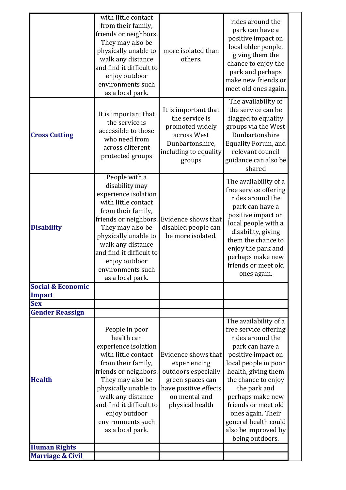|                              | with little contact<br>from their family,<br>friends or neighbors.<br>They may also be<br>physically unable to<br>walk any distance<br>and find it difficult to<br>enjoy outdoor<br>environments such<br>as a local park.                                                            | more isolated than<br>others.                                                                                                               | rides around the<br>park can have a<br>positive impact on<br>local older people,<br>giving them the<br>chance to enjoy the<br>park and perhaps<br>make new friends or<br>meet old ones again.                                                                                                                                       |
|------------------------------|--------------------------------------------------------------------------------------------------------------------------------------------------------------------------------------------------------------------------------------------------------------------------------------|---------------------------------------------------------------------------------------------------------------------------------------------|-------------------------------------------------------------------------------------------------------------------------------------------------------------------------------------------------------------------------------------------------------------------------------------------------------------------------------------|
| <b>Cross Cutting</b>         | It is important that<br>the service is<br>accessible to those<br>who need from<br>across different<br>protected groups                                                                                                                                                               | It is important that<br>the service is<br>promoted widely<br>across West<br>Dunbartonshire,<br>including to equality<br>groups              | The availability of<br>the service can be<br>flagged to equality<br>groups via the West<br>Dunbartonshire<br><b>Equality Forum, and</b><br>relevant council<br>guidance can also be<br>shared                                                                                                                                       |
| <b>Disability</b>            | People with a<br>disability may<br>experience isolation<br>with little contact<br>from their family,<br>friends or neighbors.<br>They may also be<br>physically unable to<br>walk any distance<br>and find it difficult to<br>enjoy outdoor<br>environments such<br>as a local park. | Evidence shows that<br>disabled people can<br>be more isolated.                                                                             | The availability of a<br>free service offering<br>rides around the<br>park can have a<br>positive impact on<br>local people with a<br>disability, giving<br>them the chance to<br>enjoy the park and<br>perhaps make new<br>friends or meet old<br>ones again.                                                                      |
| <b>Social &amp; Economic</b> |                                                                                                                                                                                                                                                                                      |                                                                                                                                             |                                                                                                                                                                                                                                                                                                                                     |
| <b>Impact</b>                |                                                                                                                                                                                                                                                                                      |                                                                                                                                             |                                                                                                                                                                                                                                                                                                                                     |
| <b>Sex</b>                   |                                                                                                                                                                                                                                                                                      |                                                                                                                                             |                                                                                                                                                                                                                                                                                                                                     |
| <b>Gender Reassign</b>       |                                                                                                                                                                                                                                                                                      |                                                                                                                                             |                                                                                                                                                                                                                                                                                                                                     |
| <b>Health</b>                | People in poor<br>health can<br>experience isolation<br>with little contact<br>from their family,<br>friends or neighbors.<br>They may also be<br>physically unable to<br>walk any distance<br>and find it difficult to<br>enjoy outdoor<br>environments such<br>as a local park.    | Evidence shows that<br>experiencing<br>outdoors especially<br>green spaces can<br>have positive effects<br>on mental and<br>physical health | The availability of a<br>free service offering<br>rides around the<br>park can have a<br>positive impact on<br>local people in poor<br>health, giving them<br>the chance to enjoy<br>the park and<br>perhaps make new<br>friends or meet old<br>ones again. Their<br>general health could<br>also be improved by<br>being outdoors. |
| <b>Human Rights</b>          |                                                                                                                                                                                                                                                                                      |                                                                                                                                             |                                                                                                                                                                                                                                                                                                                                     |
| <b>Marriage &amp; Civil</b>  |                                                                                                                                                                                                                                                                                      |                                                                                                                                             |                                                                                                                                                                                                                                                                                                                                     |